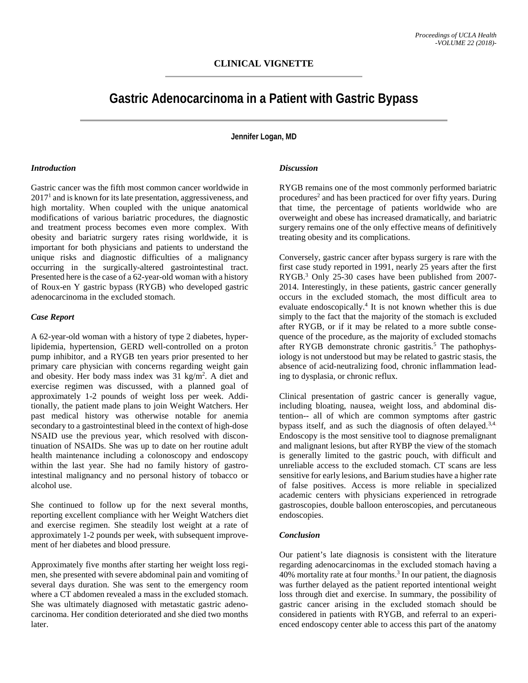# **Gastric Adenocarcinoma in a Patient with Gastric Bypass**

**Jennifer Logan, MD**

#### *Introduction*

Gastric cancer was the fifth most common cancer worldwide in 20171 and is known for its late presentation, aggressiveness, and high mortality. When coupled with the unique anatomical modifications of various bariatric procedures, the diagnostic and treatment process becomes even more complex. With obesity and bariatric surgery rates rising worldwide, it is important for both physicians and patients to understand the unique risks and diagnostic difficulties of a malignancy occurring in the surgically-altered gastrointestinal tract. Presented here is the case of a 62-year-old woman with a history of Roux-en Y gastric bypass (RYGB) who developed gastric adenocarcinoma in the excluded stomach.

#### *Case Report*

A 62-year-old woman with a history of type 2 diabetes, hyperlipidemia, hypertension, GERD well-controlled on a proton pump inhibitor, and a RYGB ten years prior presented to her primary care physician with concerns regarding weight gain and obesity. Her body mass index was 31 kg/m<sup>2</sup>. A diet and exercise regimen was discussed, with a planned goal of approximately 1-2 pounds of weight loss per week. Additionally, the patient made plans to join Weight Watchers. Her past medical history was otherwise notable for anemia secondary to a gastrointestinal bleed in the context of high-dose NSAID use the previous year, which resolved with discontinuation of NSAIDs. She was up to date on her routine adult health maintenance including a colonoscopy and endoscopy within the last year. She had no family history of gastrointestinal malignancy and no personal history of tobacco or alcohol use.

She continued to follow up for the next several months, reporting excellent compliance with her Weight Watchers diet and exercise regimen. She steadily lost weight at a rate of approximately 1-2 pounds per week, with subsequent improvement of her diabetes and blood pressure.

Approximately five months after starting her weight loss regimen, she presented with severe abdominal pain and vomiting of several days duration. She was sent to the emergency room where a CT abdomen revealed a mass in the excluded stomach. She was ultimately diagnosed with metastatic gastric adenocarcinoma. Her condition deteriorated and she died two months later.

#### *Discussion*

RYGB remains one of the most commonly performed bariatric procedures<sup>2</sup> and has been practiced for over fifty years. During that time, the percentage of patients worldwide who are overweight and obese has increased dramatically, and bariatric surgery remains one of the only effective means of definitively treating obesity and its complications.

Conversely, gastric cancer after bypass surgery is rare with the first case study reported in 1991, nearly 25 years after the first RYGB.3 Only 25-30 cases have been published from 2007- 2014. Interestingly, in these patients, gastric cancer generally occurs in the excluded stomach, the most difficult area to evaluate endoscopically. <sup>4</sup> It is not known whether this is due simply to the fact that the majority of the stomach is excluded after RYGB, or if it may be related to a more subtle consequence of the procedure, as the majority of excluded stomachs after RYGB demonstrate chronic gastritis.<sup>5</sup> The pathophysiology is not understood but may be related to gastric stasis, the absence of acid-neutralizing food, chronic inflammation leading to dysplasia, or chronic reflux.

Clinical presentation of gastric cancer is generally vague, including bloating, nausea, weight loss, and abdominal distention-- all of which are common symptoms after gastric bypass itself, and as such the diagnosis of often delayed.<sup>3,4.</sup> Endoscopy is the most sensitive tool to diagnose premalignant and malignant lesions, but after RYBP the view of the stomach is generally limited to the gastric pouch, with difficult and unreliable access to the excluded stomach. CT scans are less sensitive for early lesions, and Barium studies have a higher rate of false positives. Access is more reliable in specialized academic centers with physicians experienced in retrograde gastroscopies, double balloon enteroscopies, and percutaneous endoscopies.

### *Conclusion*

Our patient's late diagnosis is consistent with the literature regarding adenocarcinomas in the excluded stomach having a  $40\%$  mortality rate at four months.<sup>3</sup> In our patient, the diagnosis was further delayed as the patient reported intentional weight loss through diet and exercise. In summary, the possibility of gastric cancer arising in the excluded stomach should be considered in patients with RYGB, and referral to an experienced endoscopy center able to access this part of the anatomy